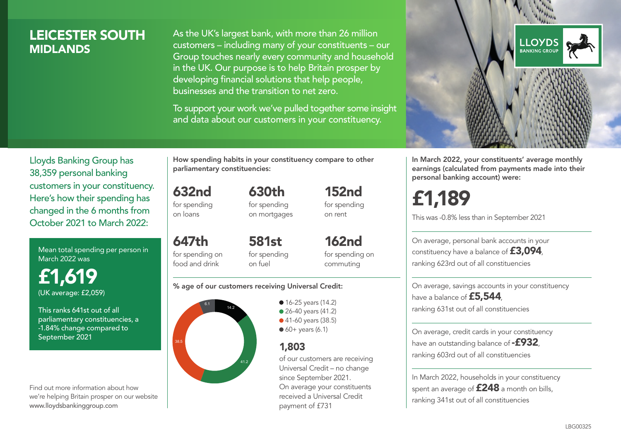### LEICESTER SOUTH **MIDI ANDS**

As the UK's largest bank, with more than 26 million customers – including many of your constituents – our Group touches nearly every community and household in the UK. Our purpose is to help Britain prosper by developing financial solutions that help people, businesses and the transition to net zero.

To support your work we've pulled together some insight and data about our customers in your constituency.



In March 2022, your constituents' average monthly earnings (calculated from payments made into their personal banking account) were:

# £1,189

This was -0.8% less than in September 2021

On average, personal bank accounts in your constituency have a balance of £3,094, ranking 623rd out of all constituencies

On average, savings accounts in your constituency have a balance of £5,544, ranking 631st out of all constituencies

On average, credit cards in your constituency have an outstanding balance of  $-$ £932. ranking 603rd out of all constituencies

In March 2022, households in your constituency spent an average of **£248** a month on bills, ranking 341st out of all constituencies

Lloyds Banking Group has 38,359 personal banking customers in your constituency. Here's how their spending has changed in the 6 months from October 2021 to March 2022:

Mean total spending per person in March 2022 was

£1,619 (UK average: £2,059)

This ranks 641st out of all parliamentary constituencies, a -1.84% change compared to September 2021

Find out more information about how we're helping Britain prosper on our website www.lloydsbankinggroup.com

How spending habits in your constituency compare to other parliamentary constituencies:

632nd for spending on loans 630th

for spending on mortgages

647th for spending on food and drink 581st for spending on fuel

162nd for spending on commuting

152nd for spending on rent

#### % age of our customers receiving Universal Credit:



**16-25 years (14.2)** • 26-40 years (41.2) ● 41-60 years (38.5)

 $60+$  years (6.1)

### 1,803

of our customers are receiving Universal Credit – no change since September 2021. On average your constituents received a Universal Credit payment of £731